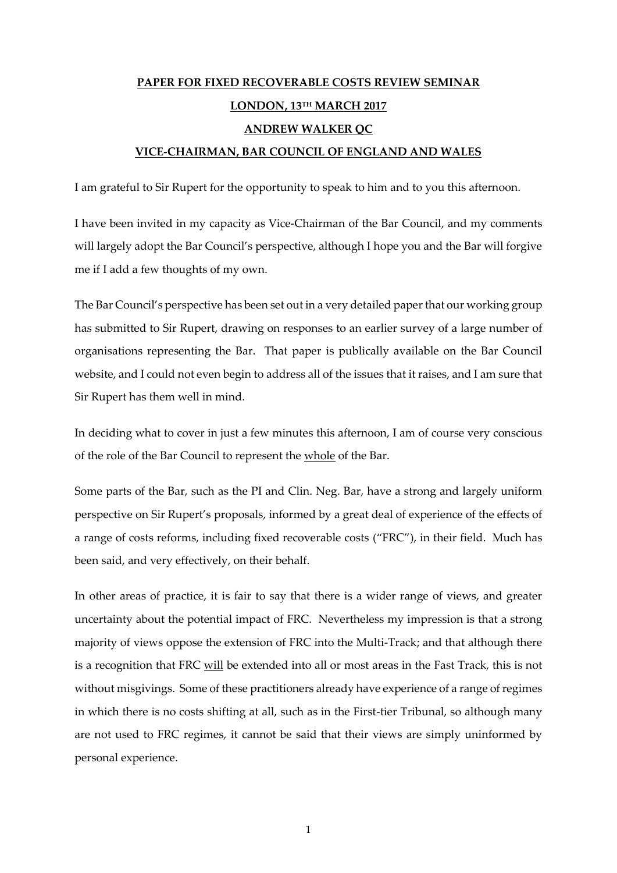# **PAPER FOR FIXED RECOVERABLE COSTS REVIEW SEMINAR LONDON, 13TH MARCH 2017 ANDREW WALKER QC VICE-CHAIRMAN, BAR COUNCIL OF ENGLAND AND WALES**

I am grateful to Sir Rupert for the opportunity to speak to him and to you this afternoon.

I have been invited in my capacity as Vice-Chairman of the Bar Council, and my comments will largely adopt the Bar Council's perspective, although I hope you and the Bar will forgive me if I add a few thoughts of my own.

The Bar Council's perspective has been set out in a very detailed paper that our working group has submitted to Sir Rupert, drawing on responses to an earlier survey of a large number of organisations representing the Bar. That paper is publically available on the Bar Council website, and I could not even begin to address all of the issues that it raises, and I am sure that Sir Rupert has them well in mind.

In deciding what to cover in just a few minutes this afternoon, I am of course very conscious of the role of the Bar Council to represent the whole of the Bar.

Some parts of the Bar, such as the PI and Clin. Neg. Bar, have a strong and largely uniform perspective on Sir Rupert's proposals, informed by a great deal of experience of the effects of a range of costs reforms, including fixed recoverable costs ("FRC"), in their field. Much has been said, and very effectively, on their behalf.

In other areas of practice, it is fair to say that there is a wider range of views, and greater uncertainty about the potential impact of FRC. Nevertheless my impression is that a strong majority of views oppose the extension of FRC into the Multi-Track; and that although there is a recognition that FRC will be extended into all or most areas in the Fast Track, this is not without misgivings. Some of these practitioners already have experience of a range of regimes in which there is no costs shifting at all, such as in the First-tier Tribunal, so although many are not used to FRC regimes, it cannot be said that their views are simply uninformed by personal experience.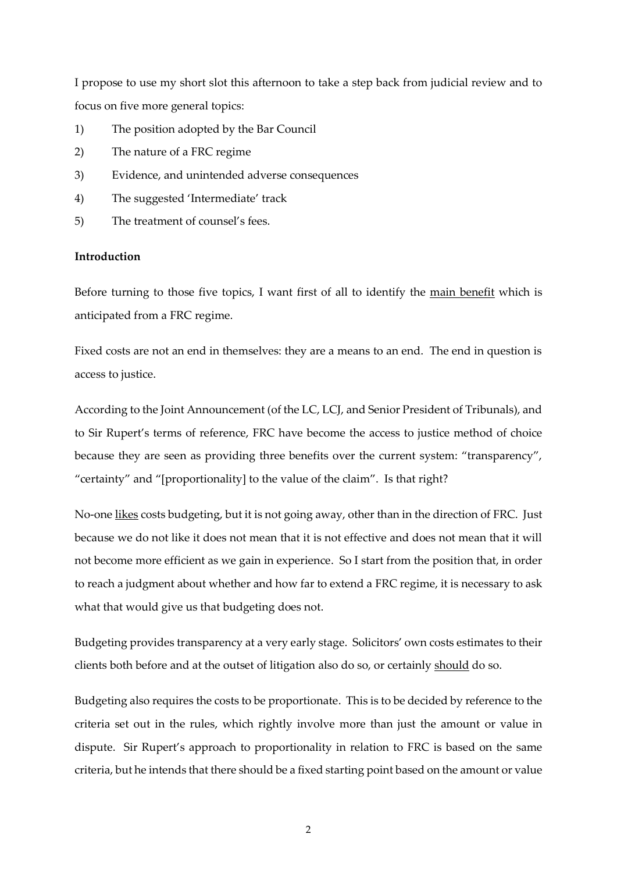I propose to use my short slot this afternoon to take a step back from judicial review and to focus on five more general topics:

- 1) The position adopted by the Bar Council
- 2) The nature of a FRC regime
- 3) Evidence, and unintended adverse consequences
- 4) The suggested 'Intermediate' track
- 5) The treatment of counsel's fees.

# **Introduction**

Before turning to those five topics, I want first of all to identify the main benefit which is anticipated from a FRC regime.

Fixed costs are not an end in themselves: they are a means to an end. The end in question is access to justice.

According to the Joint Announcement (of the LC, LCJ, and Senior President of Tribunals), and to Sir Rupert's terms of reference, FRC have become the access to justice method of choice because they are seen as providing three benefits over the current system: "transparency", "certainty" and "[proportionality] to the value of the claim". Is that right?

No-one likes costs budgeting, but it is not going away, other than in the direction of FRC. Just because we do not like it does not mean that it is not effective and does not mean that it will not become more efficient as we gain in experience. So I start from the position that, in order to reach a judgment about whether and how far to extend a FRC regime, it is necessary to ask what that would give us that budgeting does not.

Budgeting provides transparency at a very early stage. Solicitors' own costs estimates to their clients both before and at the outset of litigation also do so, or certainly should do so.

Budgeting also requires the costs to be proportionate. This is to be decided by reference to the criteria set out in the rules, which rightly involve more than just the amount or value in dispute. Sir Rupert's approach to proportionality in relation to FRC is based on the same criteria, but he intends that there should be a fixed starting point based on the amount or value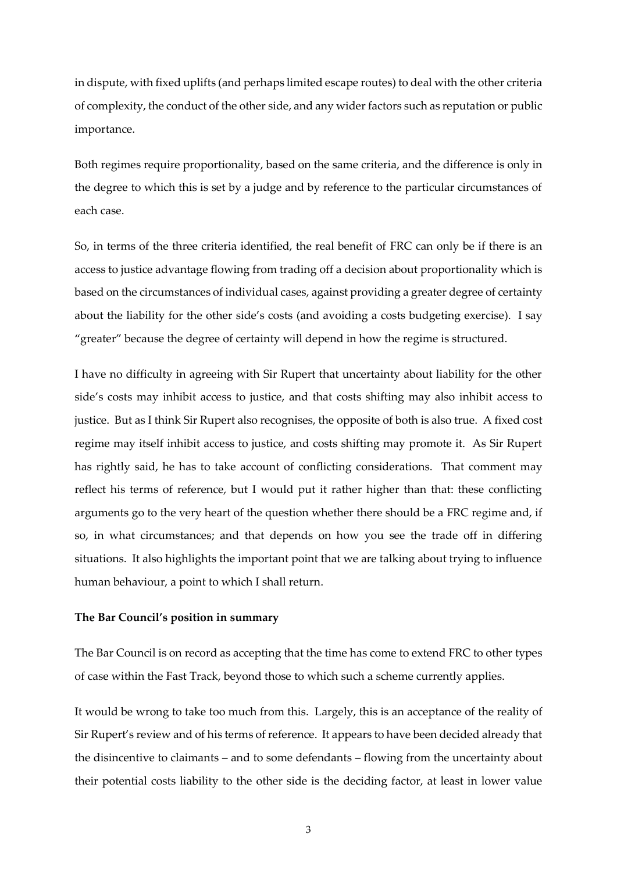in dispute, with fixed uplifts (and perhaps limited escape routes) to deal with the other criteria of complexity, the conduct of the other side, and any wider factors such as reputation or public importance.

Both regimes require proportionality, based on the same criteria, and the difference is only in the degree to which this is set by a judge and by reference to the particular circumstances of each case.

So, in terms of the three criteria identified, the real benefit of FRC can only be if there is an access to justice advantage flowing from trading off a decision about proportionality which is based on the circumstances of individual cases, against providing a greater degree of certainty about the liability for the other side's costs (and avoiding a costs budgeting exercise). I say "greater" because the degree of certainty will depend in how the regime is structured.

I have no difficulty in agreeing with Sir Rupert that uncertainty about liability for the other side's costs may inhibit access to justice, and that costs shifting may also inhibit access to justice. But as I think Sir Rupert also recognises, the opposite of both is also true. A fixed cost regime may itself inhibit access to justice, and costs shifting may promote it. As Sir Rupert has rightly said, he has to take account of conflicting considerations. That comment may reflect his terms of reference, but I would put it rather higher than that: these conflicting arguments go to the very heart of the question whether there should be a FRC regime and, if so, in what circumstances; and that depends on how you see the trade off in differing situations. It also highlights the important point that we are talking about trying to influence human behaviour, a point to which I shall return.

# **The Bar Council's position in summary**

The Bar Council is on record as accepting that the time has come to extend FRC to other types of case within the Fast Track, beyond those to which such a scheme currently applies.

It would be wrong to take too much from this. Largely, this is an acceptance of the reality of Sir Rupert's review and of his terms of reference. It appears to have been decided already that the disincentive to claimants – and to some defendants – flowing from the uncertainty about their potential costs liability to the other side is the deciding factor, at least in lower value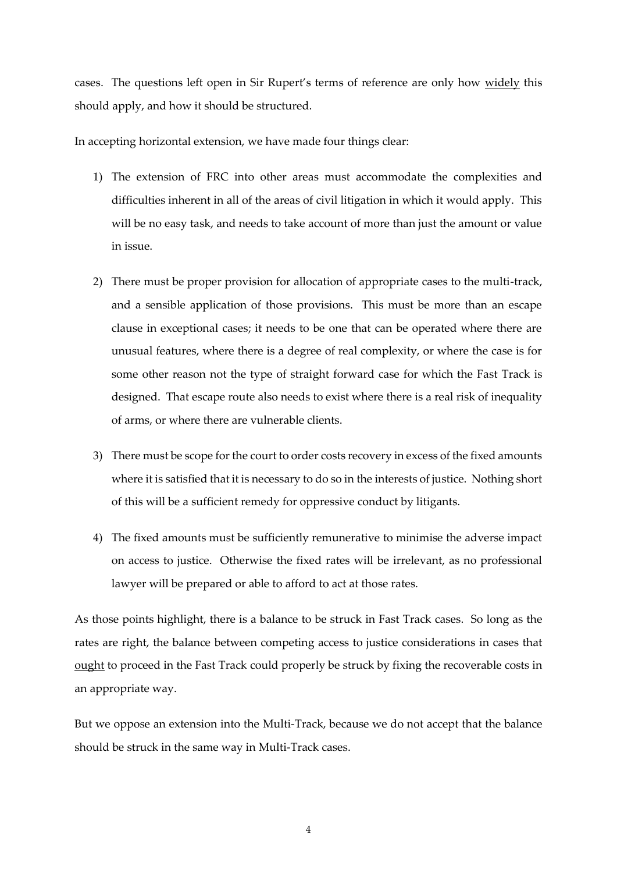cases. The questions left open in Sir Rupert's terms of reference are only how widely this should apply, and how it should be structured.

In accepting horizontal extension, we have made four things clear:

- 1) The extension of FRC into other areas must accommodate the complexities and difficulties inherent in all of the areas of civil litigation in which it would apply. This will be no easy task, and needs to take account of more than just the amount or value in issue.
- 2) There must be proper provision for allocation of appropriate cases to the multi-track, and a sensible application of those provisions. This must be more than an escape clause in exceptional cases; it needs to be one that can be operated where there are unusual features, where there is a degree of real complexity, or where the case is for some other reason not the type of straight forward case for which the Fast Track is designed. That escape route also needs to exist where there is a real risk of inequality of arms, or where there are vulnerable clients.
- 3) There must be scope for the court to order costs recovery in excess of the fixed amounts where it is satisfied that it is necessary to do so in the interests of justice. Nothing short of this will be a sufficient remedy for oppressive conduct by litigants.
- 4) The fixed amounts must be sufficiently remunerative to minimise the adverse impact on access to justice. Otherwise the fixed rates will be irrelevant, as no professional lawyer will be prepared or able to afford to act at those rates.

As those points highlight, there is a balance to be struck in Fast Track cases. So long as the rates are right, the balance between competing access to justice considerations in cases that ought to proceed in the Fast Track could properly be struck by fixing the recoverable costs in an appropriate way.

But we oppose an extension into the Multi-Track, because we do not accept that the balance should be struck in the same way in Multi-Track cases.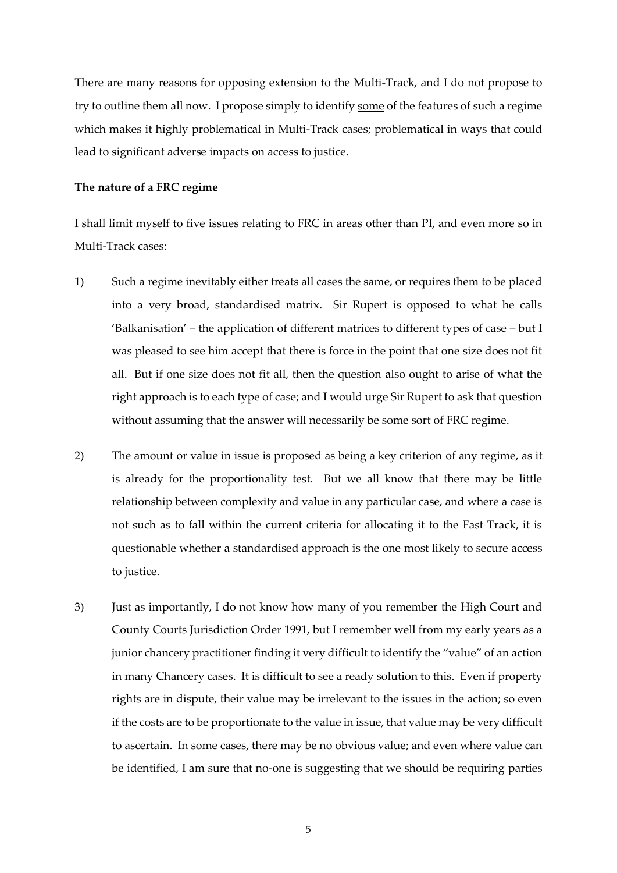There are many reasons for opposing extension to the Multi-Track, and I do not propose to try to outline them all now. I propose simply to identify some of the features of such a regime which makes it highly problematical in Multi-Track cases; problematical in ways that could lead to significant adverse impacts on access to justice.

### **The nature of a FRC regime**

I shall limit myself to five issues relating to FRC in areas other than PI, and even more so in Multi-Track cases:

- 1) Such a regime inevitably either treats all cases the same, or requires them to be placed into a very broad, standardised matrix. Sir Rupert is opposed to what he calls 'Balkanisation' – the application of different matrices to different types of case – but I was pleased to see him accept that there is force in the point that one size does not fit all. But if one size does not fit all, then the question also ought to arise of what the right approach is to each type of case; and I would urge Sir Rupert to ask that question without assuming that the answer will necessarily be some sort of FRC regime.
- 2) The amount or value in issue is proposed as being a key criterion of any regime, as it is already for the proportionality test. But we all know that there may be little relationship between complexity and value in any particular case, and where a case is not such as to fall within the current criteria for allocating it to the Fast Track, it is questionable whether a standardised approach is the one most likely to secure access to justice.
- 3) Just as importantly, I do not know how many of you remember the High Court and County Courts Jurisdiction Order 1991, but I remember well from my early years as a junior chancery practitioner finding it very difficult to identify the "value" of an action in many Chancery cases. It is difficult to see a ready solution to this. Even if property rights are in dispute, their value may be irrelevant to the issues in the action; so even if the costs are to be proportionate to the value in issue, that value may be very difficult to ascertain. In some cases, there may be no obvious value; and even where value can be identified, I am sure that no-one is suggesting that we should be requiring parties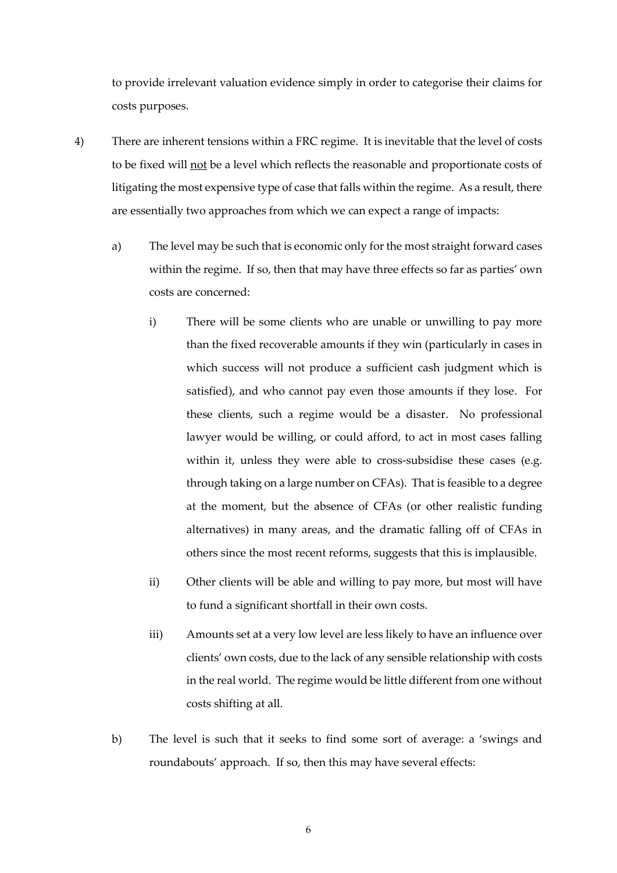to provide irrelevant valuation evidence simply in order to categorise their claims for costs purposes.

- 4) There are inherent tensions within a FRC regime. It is inevitable that the level of costs to be fixed will not be a level which reflects the reasonable and proportionate costs of litigating the most expensive type of case that falls within the regime. As a result, there are essentially two approaches from which we can expect a range of impacts:
	- a) The level may be such that is economic only for the most straight forward cases within the regime. If so, then that may have three effects so far as parties' own costs are concerned:
		- i) There will be some clients who are unable or unwilling to pay more than the fixed recoverable amounts if they win (particularly in cases in which success will not produce a sufficient cash judgment which is satisfied), and who cannot pay even those amounts if they lose. For these clients, such a regime would be a disaster. No professional lawyer would be willing, or could afford, to act in most cases falling within it, unless they were able to cross-subsidise these cases (e.g. through taking on a large number on CFAs). That is feasible to a degree at the moment, but the absence of CFAs (or other realistic funding alternatives) in many areas, and the dramatic falling off of CFAs in others since the most recent reforms, suggests that this is implausible.
		- ii) Other clients will be able and willing to pay more, but most will have to fund a significant shortfall in their own costs.
		- iii) Amounts set at a very low level are less likely to have an influence over clients' own costs, due to the lack of any sensible relationship with costs in the real world. The regime would be little different from one without costs shifting at all.
	- b) The level is such that it seeks to find some sort of average: a 'swings and roundabouts' approach. If so, then this may have several effects: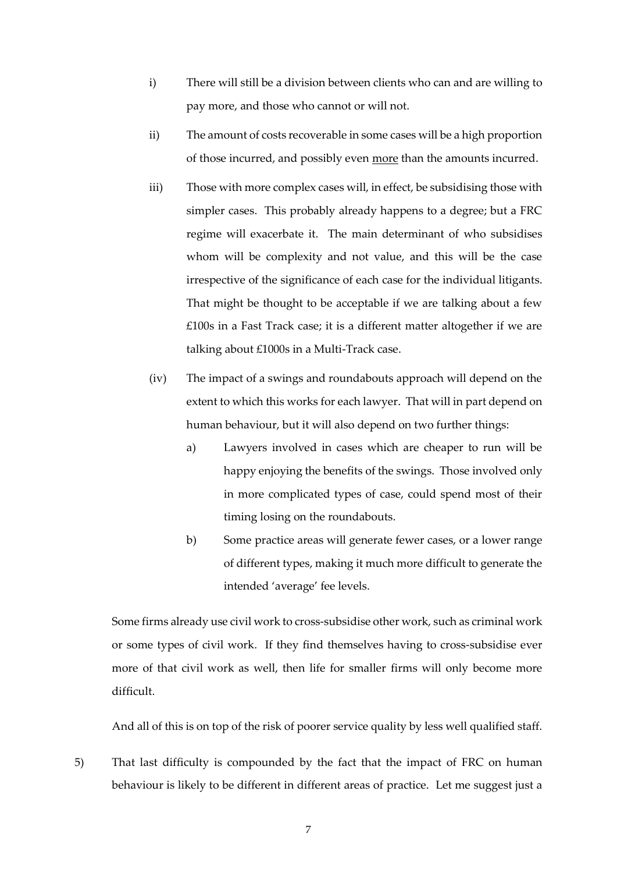- i) There will still be a division between clients who can and are willing to pay more, and those who cannot or will not.
- ii) The amount of costs recoverable in some cases will be a high proportion of those incurred, and possibly even more than the amounts incurred.
- iii) Those with more complex cases will, in effect, be subsidising those with simpler cases. This probably already happens to a degree; but a FRC regime will exacerbate it. The main determinant of who subsidises whom will be complexity and not value, and this will be the case irrespective of the significance of each case for the individual litigants. That might be thought to be acceptable if we are talking about a few £100s in a Fast Track case; it is a different matter altogether if we are talking about £1000s in a Multi-Track case.
- (iv) The impact of a swings and roundabouts approach will depend on the extent to which this works for each lawyer. That will in part depend on human behaviour, but it will also depend on two further things:
	- a) Lawyers involved in cases which are cheaper to run will be happy enjoying the benefits of the swings. Those involved only in more complicated types of case, could spend most of their timing losing on the roundabouts.
	- b) Some practice areas will generate fewer cases, or a lower range of different types, making it much more difficult to generate the intended 'average' fee levels.

Some firms already use civil work to cross-subsidise other work, such as criminal work or some types of civil work. If they find themselves having to cross-subsidise ever more of that civil work as well, then life for smaller firms will only become more difficult.

And all of this is on top of the risk of poorer service quality by less well qualified staff.

5) That last difficulty is compounded by the fact that the impact of FRC on human behaviour is likely to be different in different areas of practice. Let me suggest just a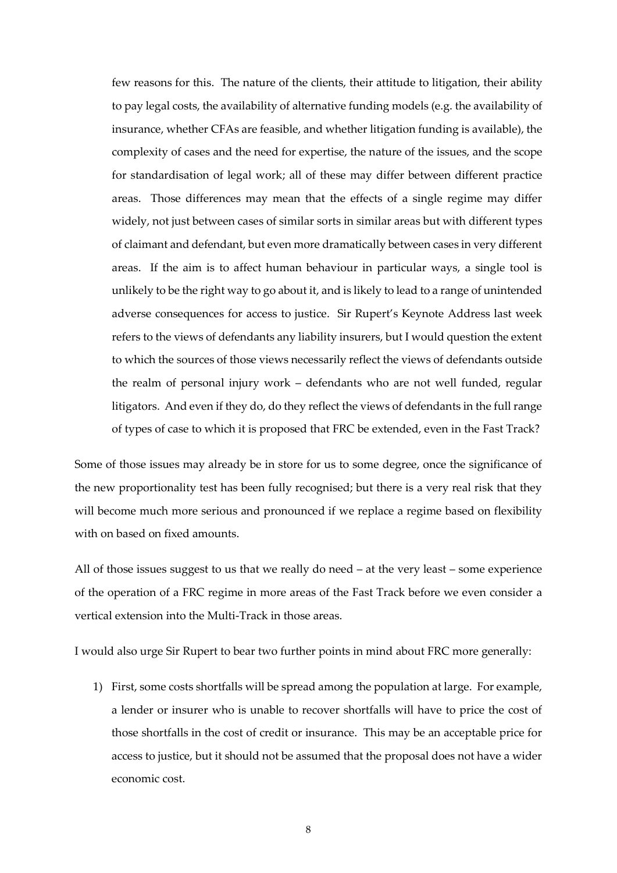few reasons for this. The nature of the clients, their attitude to litigation, their ability to pay legal costs, the availability of alternative funding models (e.g. the availability of insurance, whether CFAs are feasible, and whether litigation funding is available), the complexity of cases and the need for expertise, the nature of the issues, and the scope for standardisation of legal work; all of these may differ between different practice areas. Those differences may mean that the effects of a single regime may differ widely, not just between cases of similar sorts in similar areas but with different types of claimant and defendant, but even more dramatically between cases in very different areas. If the aim is to affect human behaviour in particular ways, a single tool is unlikely to be the right way to go about it, and is likely to lead to a range of unintended adverse consequences for access to justice. Sir Rupert's Keynote Address last week refers to the views of defendants any liability insurers, but I would question the extent to which the sources of those views necessarily reflect the views of defendants outside the realm of personal injury work – defendants who are not well funded, regular litigators. And even if they do, do they reflect the views of defendants in the full range of types of case to which it is proposed that FRC be extended, even in the Fast Track?

Some of those issues may already be in store for us to some degree, once the significance of the new proportionality test has been fully recognised; but there is a very real risk that they will become much more serious and pronounced if we replace a regime based on flexibility with on based on fixed amounts.

All of those issues suggest to us that we really do need – at the very least – some experience of the operation of a FRC regime in more areas of the Fast Track before we even consider a vertical extension into the Multi-Track in those areas.

I would also urge Sir Rupert to bear two further points in mind about FRC more generally:

1) First, some costs shortfalls will be spread among the population at large. For example, a lender or insurer who is unable to recover shortfalls will have to price the cost of those shortfalls in the cost of credit or insurance. This may be an acceptable price for access to justice, but it should not be assumed that the proposal does not have a wider economic cost.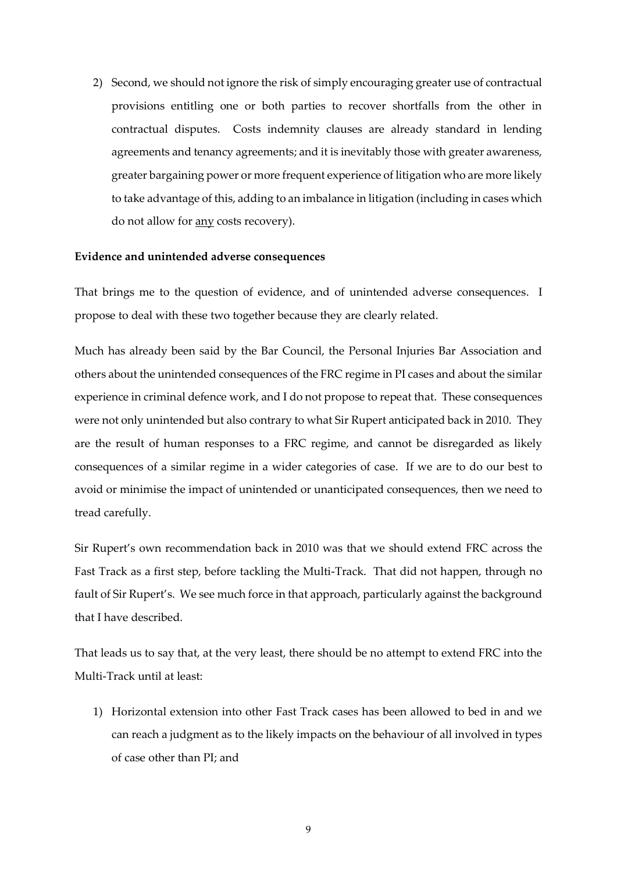2) Second, we should not ignore the risk of simply encouraging greater use of contractual provisions entitling one or both parties to recover shortfalls from the other in contractual disputes. Costs indemnity clauses are already standard in lending agreements and tenancy agreements; and it is inevitably those with greater awareness, greater bargaining power or more frequent experience of litigation who are more likely to take advantage of this, adding to an imbalance in litigation (including in cases which do not allow for any costs recovery).

#### **Evidence and unintended adverse consequences**

That brings me to the question of evidence, and of unintended adverse consequences. I propose to deal with these two together because they are clearly related.

Much has already been said by the Bar Council, the Personal Injuries Bar Association and others about the unintended consequences of the FRC regime in PI cases and about the similar experience in criminal defence work, and I do not propose to repeat that. These consequences were not only unintended but also contrary to what Sir Rupert anticipated back in 2010. They are the result of human responses to a FRC regime, and cannot be disregarded as likely consequences of a similar regime in a wider categories of case. If we are to do our best to avoid or minimise the impact of unintended or unanticipated consequences, then we need to tread carefully.

Sir Rupert's own recommendation back in 2010 was that we should extend FRC across the Fast Track as a first step, before tackling the Multi-Track. That did not happen, through no fault of Sir Rupert's. We see much force in that approach, particularly against the background that I have described.

That leads us to say that, at the very least, there should be no attempt to extend FRC into the Multi-Track until at least:

1) Horizontal extension into other Fast Track cases has been allowed to bed in and we can reach a judgment as to the likely impacts on the behaviour of all involved in types of case other than PI; and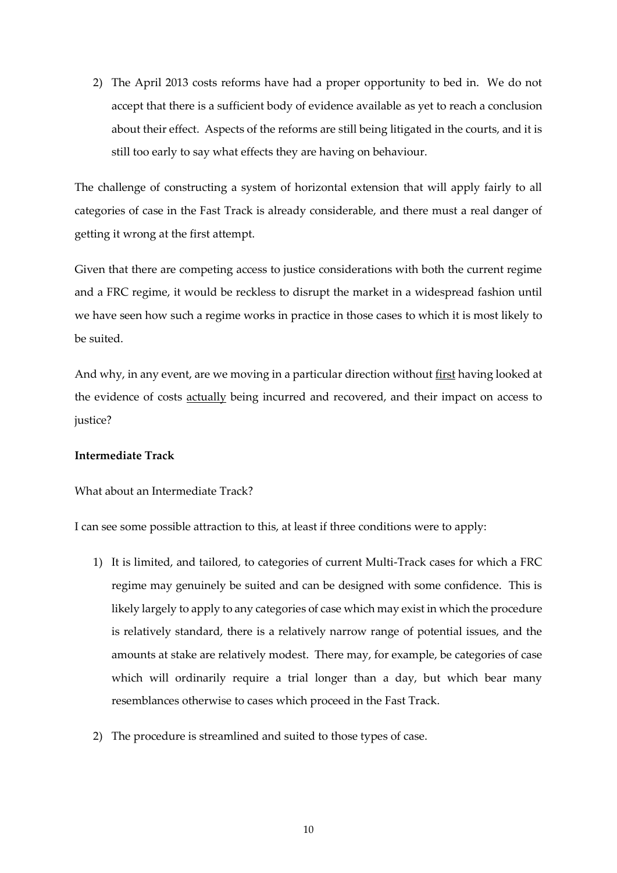2) The April 2013 costs reforms have had a proper opportunity to bed in. We do not accept that there is a sufficient body of evidence available as yet to reach a conclusion about their effect. Aspects of the reforms are still being litigated in the courts, and it is still too early to say what effects they are having on behaviour.

The challenge of constructing a system of horizontal extension that will apply fairly to all categories of case in the Fast Track is already considerable, and there must a real danger of getting it wrong at the first attempt.

Given that there are competing access to justice considerations with both the current regime and a FRC regime, it would be reckless to disrupt the market in a widespread fashion until we have seen how such a regime works in practice in those cases to which it is most likely to be suited.

And why, in any event, are we moving in a particular direction without first having looked at the evidence of costs actually being incurred and recovered, and their impact on access to justice?

#### **Intermediate Track**

#### What about an Intermediate Track?

I can see some possible attraction to this, at least if three conditions were to apply:

- 1) It is limited, and tailored, to categories of current Multi-Track cases for which a FRC regime may genuinely be suited and can be designed with some confidence. This is likely largely to apply to any categories of case which may exist in which the procedure is relatively standard, there is a relatively narrow range of potential issues, and the amounts at stake are relatively modest. There may, for example, be categories of case which will ordinarily require a trial longer than a day, but which bear many resemblances otherwise to cases which proceed in the Fast Track.
- 2) The procedure is streamlined and suited to those types of case.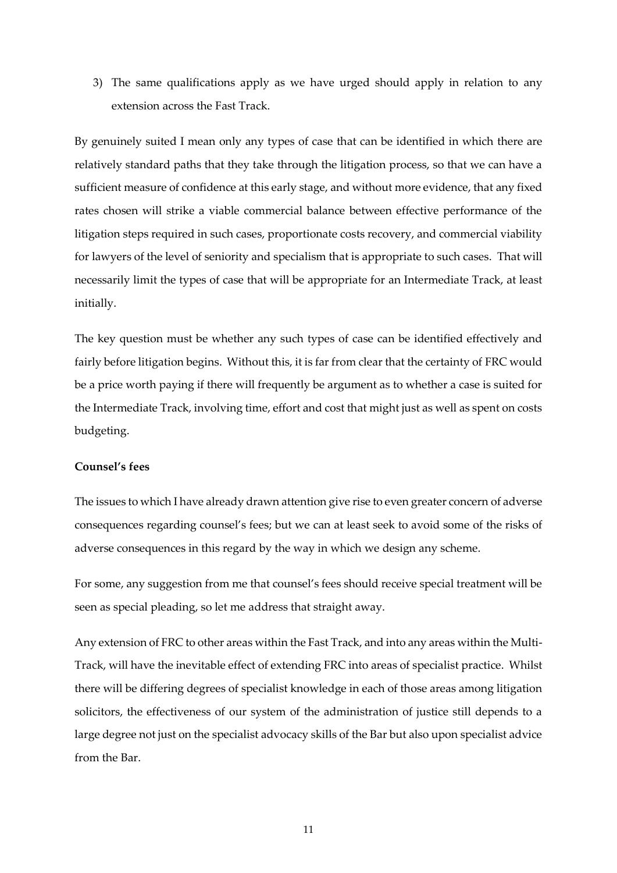3) The same qualifications apply as we have urged should apply in relation to any extension across the Fast Track.

By genuinely suited I mean only any types of case that can be identified in which there are relatively standard paths that they take through the litigation process, so that we can have a sufficient measure of confidence at this early stage, and without more evidence, that any fixed rates chosen will strike a viable commercial balance between effective performance of the litigation steps required in such cases, proportionate costs recovery, and commercial viability for lawyers of the level of seniority and specialism that is appropriate to such cases. That will necessarily limit the types of case that will be appropriate for an Intermediate Track, at least initially.

The key question must be whether any such types of case can be identified effectively and fairly before litigation begins. Without this, it is far from clear that the certainty of FRC would be a price worth paying if there will frequently be argument as to whether a case is suited for the Intermediate Track, involving time, effort and cost that might just as well as spent on costs budgeting.

## **Counsel's fees**

The issues to which I have already drawn attention give rise to even greater concern of adverse consequences regarding counsel's fees; but we can at least seek to avoid some of the risks of adverse consequences in this regard by the way in which we design any scheme.

For some, any suggestion from me that counsel's fees should receive special treatment will be seen as special pleading, so let me address that straight away.

Any extension of FRC to other areas within the Fast Track, and into any areas within the Multi-Track, will have the inevitable effect of extending FRC into areas of specialist practice. Whilst there will be differing degrees of specialist knowledge in each of those areas among litigation solicitors, the effectiveness of our system of the administration of justice still depends to a large degree not just on the specialist advocacy skills of the Bar but also upon specialist advice from the Bar.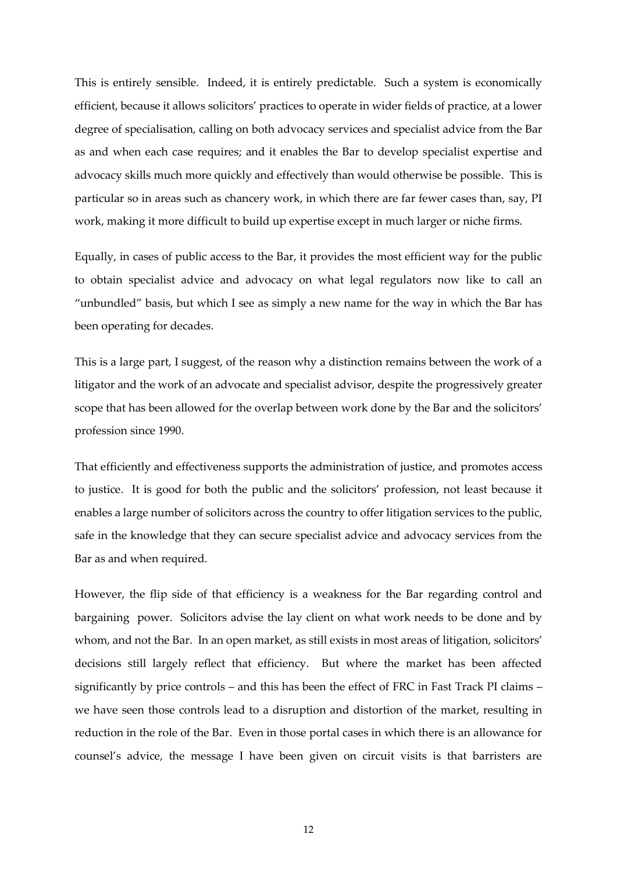This is entirely sensible. Indeed, it is entirely predictable. Such a system is economically efficient, because it allows solicitors' practices to operate in wider fields of practice, at a lower degree of specialisation, calling on both advocacy services and specialist advice from the Bar as and when each case requires; and it enables the Bar to develop specialist expertise and advocacy skills much more quickly and effectively than would otherwise be possible. This is particular so in areas such as chancery work, in which there are far fewer cases than, say, PI work, making it more difficult to build up expertise except in much larger or niche firms.

Equally, in cases of public access to the Bar, it provides the most efficient way for the public to obtain specialist advice and advocacy on what legal regulators now like to call an "unbundled" basis, but which I see as simply a new name for the way in which the Bar has been operating for decades.

This is a large part, I suggest, of the reason why a distinction remains between the work of a litigator and the work of an advocate and specialist advisor, despite the progressively greater scope that has been allowed for the overlap between work done by the Bar and the solicitors' profession since 1990.

That efficiently and effectiveness supports the administration of justice, and promotes access to justice. It is good for both the public and the solicitors' profession, not least because it enables a large number of solicitors across the country to offer litigation services to the public, safe in the knowledge that they can secure specialist advice and advocacy services from the Bar as and when required.

However, the flip side of that efficiency is a weakness for the Bar regarding control and bargaining power. Solicitors advise the lay client on what work needs to be done and by whom, and not the Bar. In an open market, as still exists in most areas of litigation, solicitors' decisions still largely reflect that efficiency. But where the market has been affected significantly by price controls – and this has been the effect of FRC in Fast Track PI claims – we have seen those controls lead to a disruption and distortion of the market, resulting in reduction in the role of the Bar. Even in those portal cases in which there is an allowance for counsel's advice, the message I have been given on circuit visits is that barristers are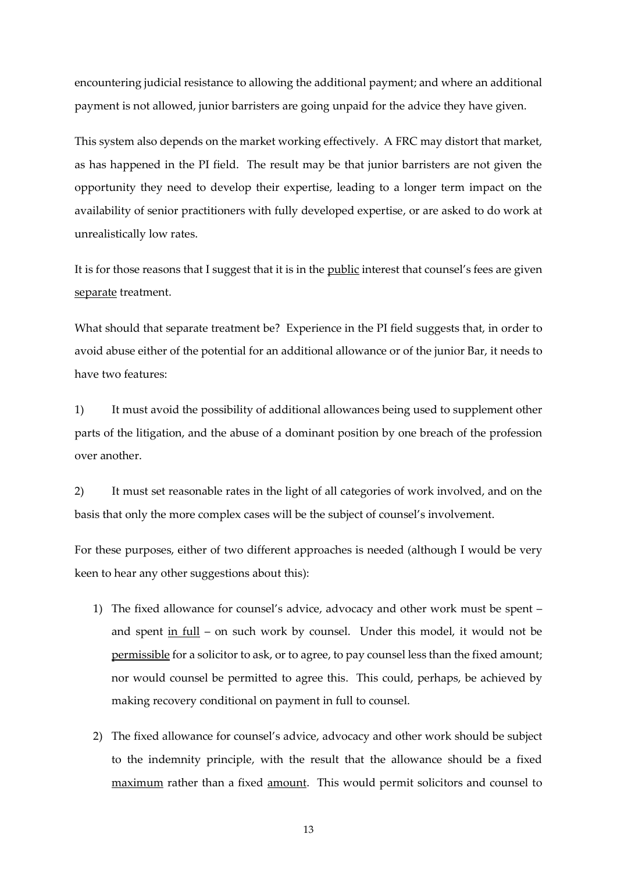encountering judicial resistance to allowing the additional payment; and where an additional payment is not allowed, junior barristers are going unpaid for the advice they have given.

This system also depends on the market working effectively. A FRC may distort that market, as has happened in the PI field. The result may be that junior barristers are not given the opportunity they need to develop their expertise, leading to a longer term impact on the availability of senior practitioners with fully developed expertise, or are asked to do work at unrealistically low rates.

It is for those reasons that I suggest that it is in the public interest that counsel's fees are given separate treatment.

What should that separate treatment be? Experience in the PI field suggests that, in order to avoid abuse either of the potential for an additional allowance or of the junior Bar, it needs to have two features:

1) It must avoid the possibility of additional allowances being used to supplement other parts of the litigation, and the abuse of a dominant position by one breach of the profession over another.

2) It must set reasonable rates in the light of all categories of work involved, and on the basis that only the more complex cases will be the subject of counsel's involvement.

For these purposes, either of two different approaches is needed (although I would be very keen to hear any other suggestions about this):

- 1) The fixed allowance for counsel's advice, advocacy and other work must be spent and spent in full – on such work by counsel. Under this model, it would not be permissible for a solicitor to ask, or to agree, to pay counsel less than the fixed amount; nor would counsel be permitted to agree this. This could, perhaps, be achieved by making recovery conditional on payment in full to counsel.
- 2) The fixed allowance for counsel's advice, advocacy and other work should be subject to the indemnity principle, with the result that the allowance should be a fixed maximum rather than a fixed amount. This would permit solicitors and counsel to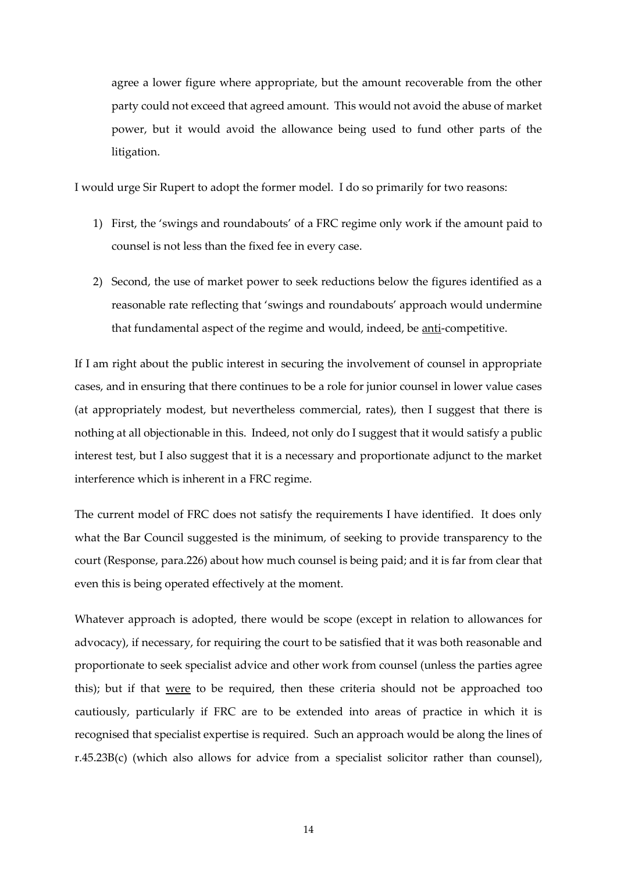agree a lower figure where appropriate, but the amount recoverable from the other party could not exceed that agreed amount. This would not avoid the abuse of market power, but it would avoid the allowance being used to fund other parts of the litigation.

I would urge Sir Rupert to adopt the former model. I do so primarily for two reasons:

- 1) First, the 'swings and roundabouts' of a FRC regime only work if the amount paid to counsel is not less than the fixed fee in every case.
- 2) Second, the use of market power to seek reductions below the figures identified as a reasonable rate reflecting that 'swings and roundabouts' approach would undermine that fundamental aspect of the regime and would, indeed, be anti-competitive.

If I am right about the public interest in securing the involvement of counsel in appropriate cases, and in ensuring that there continues to be a role for junior counsel in lower value cases (at appropriately modest, but nevertheless commercial, rates), then I suggest that there is nothing at all objectionable in this. Indeed, not only do I suggest that it would satisfy a public interest test, but I also suggest that it is a necessary and proportionate adjunct to the market interference which is inherent in a FRC regime.

The current model of FRC does not satisfy the requirements I have identified. It does only what the Bar Council suggested is the minimum, of seeking to provide transparency to the court (Response, para.226) about how much counsel is being paid; and it is far from clear that even this is being operated effectively at the moment.

Whatever approach is adopted, there would be scope (except in relation to allowances for advocacy), if necessary, for requiring the court to be satisfied that it was both reasonable and proportionate to seek specialist advice and other work from counsel (unless the parties agree this); but if that were to be required, then these criteria should not be approached too cautiously, particularly if FRC are to be extended into areas of practice in which it is recognised that specialist expertise is required. Such an approach would be along the lines of r.45.23B(c) (which also allows for advice from a specialist solicitor rather than counsel),